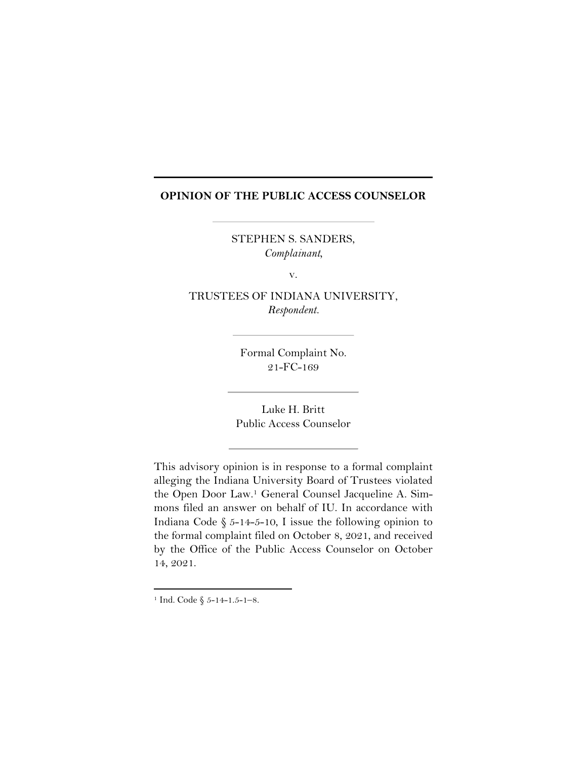## **OPINION OF THE PUBLIC ACCESS COUNSELOR**

STEPHEN S. SANDERS, *Complainant,*

v.

TRUSTEES OF INDIANA UNIVERSITY, *Respondent.*

> Formal Complaint No. 21-FC-169

Luke H. Britt Public Access Counselor

This advisory opinion is in response to a formal complaint alleging the Indiana University Board of Trustees violated the Open Door Law. <sup>1</sup> General Counsel Jacqueline A. Simmons filed an answer on behalf of IU. In accordance with Indiana Code  $\S$  5-14-5-10, I issue the following opinion to the formal complaint filed on October 8, 2021, and received by the Office of the Public Access Counselor on October 14, 2021.

<sup>&</sup>lt;sup>1</sup> Ind. Code  $\S$  5-14-1.5-1-8.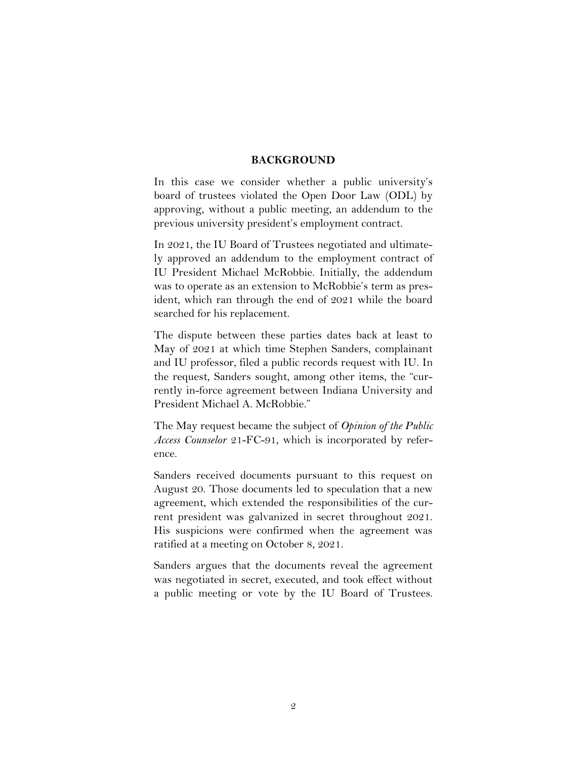## **BACKGROUND**

In this case we consider whether a public university's board of trustees violated the Open Door Law (ODL) by approving, without a public meeting, an addendum to the previous university president's employment contract.

In 2021, the IU Board of Trustees negotiated and ultimately approved an addendum to the employment contract of IU President Michael McRobbie. Initially, the addendum was to operate as an extension to McRobbie's term as president, which ran through the end of 2021 while the board searched for his replacement.

The dispute between these parties dates back at least to May of 2021 at which time Stephen Sanders, complainant and IU professor, filed a public records request with IU. In the request, Sanders sought, among other items, the "currently in-force agreement between Indiana University and President Michael A. McRobbie."

The May request became the subject of *Opinion of the Public Access Counselor* 21-FC-91, which is incorporated by reference.

Sanders received documents pursuant to this request on August 20. Those documents led to speculation that a new agreement, which extended the responsibilities of the current president was galvanized in secret throughout 2021. His suspicions were confirmed when the agreement was ratified at a meeting on October 8, 2021.

Sanders argues that the documents reveal the agreement was negotiated in secret, executed, and took effect without a public meeting or vote by the IU Board of Trustees.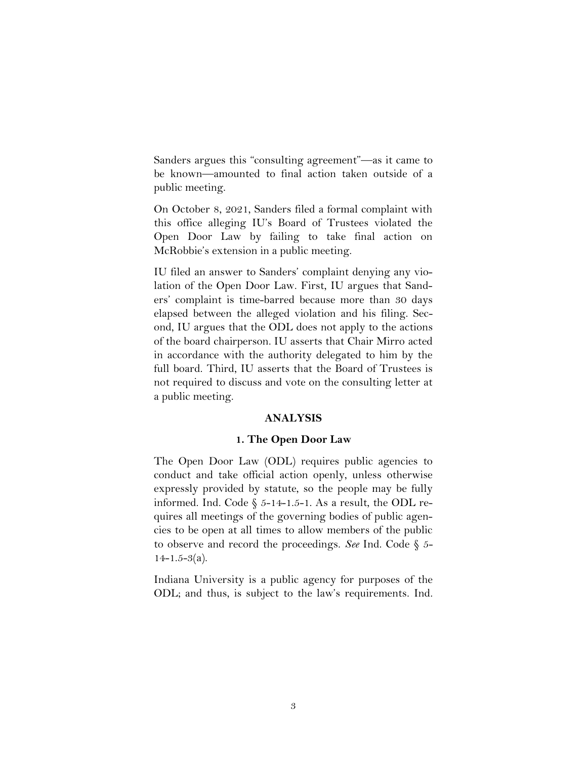Sanders argues this "consulting agreement"—as it came to be known—amounted to final action taken outside of a public meeting.

On October 8, 2021, Sanders filed a formal complaint with this office alleging IU's Board of Trustees violated the Open Door Law by failing to take final action on McRobbie's extension in a public meeting.

IU filed an answer to Sanders' complaint denying any violation of the Open Door Law. First, IU argues that Sanders' complaint is time-barred because more than 30 days elapsed between the alleged violation and his filing. Second, IU argues that the ODL does not apply to the actions of the board chairperson. IU asserts that Chair Mirro acted in accordance with the authority delegated to him by the full board. Third, IU asserts that the Board of Trustees is not required to discuss and vote on the consulting letter at a public meeting.

### **ANALYSIS**

#### **1. The Open Door Law**

The Open Door Law (ODL) requires public agencies to conduct and take official action openly, unless otherwise expressly provided by statute, so the people may be fully informed. Ind. Code  $\S$  5-14-1.5-1. As a result, the ODL requires all meetings of the governing bodies of public agencies to be open at all times to allow members of the public to observe and record the proceedings. *See* Ind. Code § 5-  $14 - 1.5 - 3(a)$ .

Indiana University is a public agency for purposes of the ODL; and thus, is subject to the law's requirements. Ind.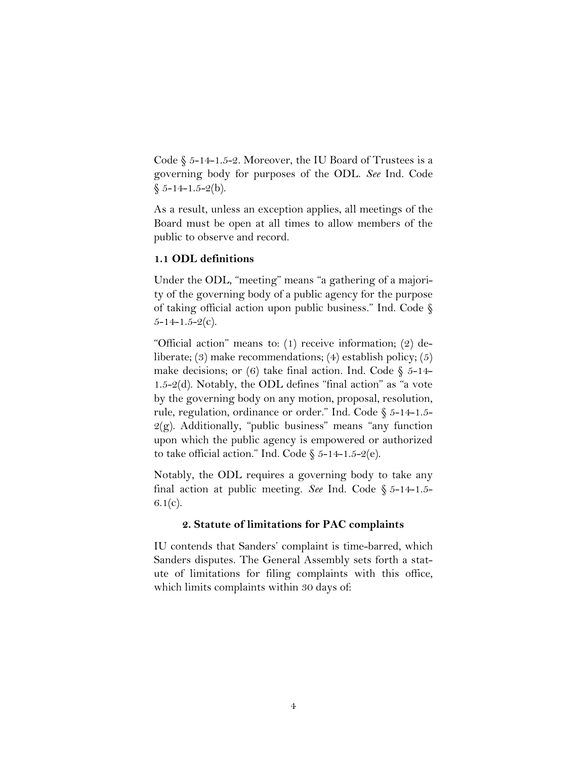Code  $\S$  5-14-1.5-2. Moreover, the IU Board of Trustees is a governing body for purposes of the ODL. *See* Ind. Code  $§ 5-14-1.5-2(b).$ 

As a result, unless an exception applies, all meetings of the Board must be open at all times to allow members of the public to observe and record.

## **1.1 ODL definitions**

Under the ODL, "meeting" means "a gathering of a majority of the governing body of a public agency for the purpose of taking official action upon public business." Ind. Code §  $5-14-1.5-2(c)$ .

"Official action" means to: (1) receive information; (2) deliberate; (3) make recommendations; (4) establish policy; (5) make decisions; or (6) take final action. Ind. Code  $\S$  5-14-1.5-2(d). Notably, the ODL defines "final action" as "a vote by the governing body on any motion, proposal, resolution, rule, regulation, ordinance or order." Ind. Code § 5-14-1.5-  $2(g)$ . Additionally, "public business" means "any function upon which the public agency is empowered or authorized to take official action." Ind. Code  $\S$  5-14-1.5-2(e).

Notably, the ODL requires a governing body to take any final action at public meeting. *See* Ind. Code § 5-14-1.5-  $6.1(c)$ .

#### **2. Statute of limitations for PAC complaints**

IU contends that Sanders' complaint is time-barred, which Sanders disputes. The General Assembly sets forth a statute of limitations for filing complaints with this office, which limits complaints within 30 days of: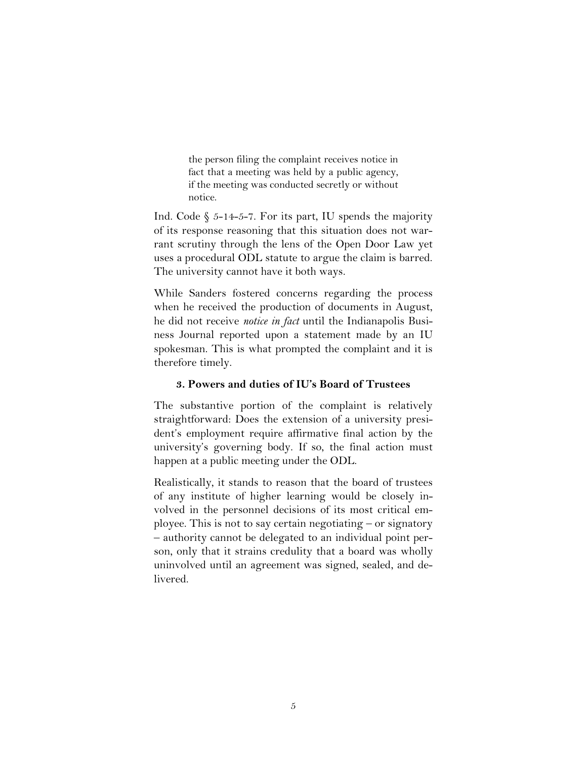the person filing the complaint receives notice in fact that a meeting was held by a public agency, if the meeting was conducted secretly or without notice.

Ind. Code  $\S$  5-14-5-7. For its part, IU spends the majority of its response reasoning that this situation does not warrant scrutiny through the lens of the Open Door Law yet uses a procedural ODL statute to argue the claim is barred. The university cannot have it both ways.

While Sanders fostered concerns regarding the process when he received the production of documents in August, he did not receive *notice in fact* until the Indianapolis Business Journal reported upon a statement made by an IU spokesman. This is what prompted the complaint and it is therefore timely.

### **3. Powers and duties of IU's Board of Trustees**

The substantive portion of the complaint is relatively straightforward: Does the extension of a university president's employment require affirmative final action by the university's governing body. If so, the final action must happen at a public meeting under the ODL.

Realistically, it stands to reason that the board of trustees of any institute of higher learning would be closely involved in the personnel decisions of its most critical employee. This is not to say certain negotiating – or signatory – authority cannot be delegated to an individual point person, only that it strains credulity that a board was wholly uninvolved until an agreement was signed, sealed, and delivered.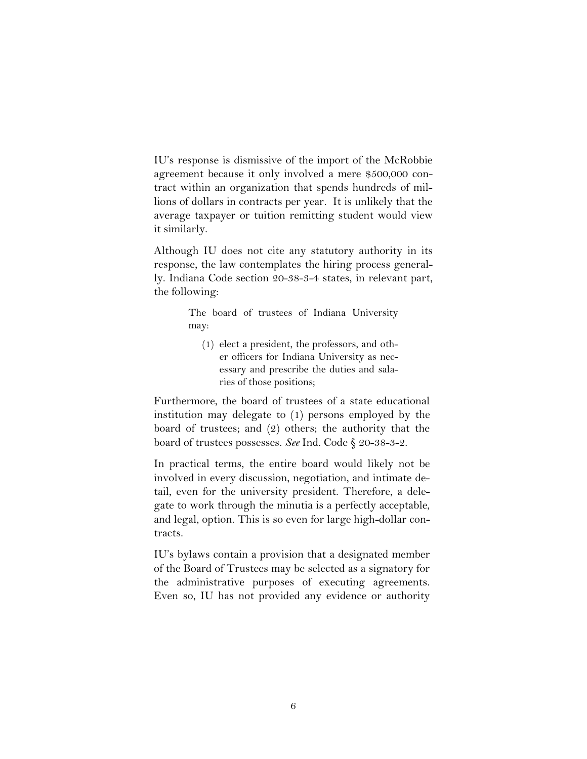IU's response is dismissive of the import of the McRobbie agreement because it only involved a mere \$500,000 contract within an organization that spends hundreds of millions of dollars in contracts per year. It is unlikely that the average taxpayer or tuition remitting student would view it similarly.

Although IU does not cite any statutory authority in its response, the law contemplates the hiring process generally. Indiana Code section 20-38-3-4 states, in relevant part, the following:

> The board of trustees of Indiana University may:

(1) elect a president, the professors, and other officers for Indiana University as necessary and prescribe the duties and salaries of those positions;

Furthermore, the board of trustees of a state educational institution may delegate to (1) persons employed by the board of trustees; and (2) others; the authority that the board of trustees possesses. *See* Ind. Code § 20-38-3-2.

In practical terms, the entire board would likely not be involved in every discussion, negotiation, and intimate detail, even for the university president. Therefore, a delegate to work through the minutia is a perfectly acceptable, and legal, option. This is so even for large high-dollar contracts.

IU's bylaws contain a provision that a designated member of the Board of Trustees may be selected as a signatory for the administrative purposes of executing agreements. Even so, IU has not provided any evidence or authority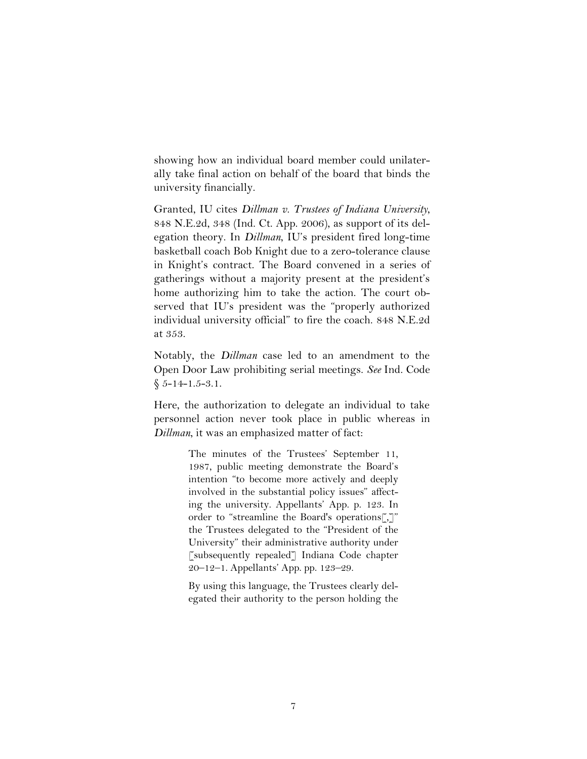showing how an individual board member could unilaterally take final action on behalf of the board that binds the university financially.

Granted, IU cites *Dillman v. Trustees of Indiana University*, 848 N.E.2d, 348 (Ind. Ct. App. 2006), as support of its delegation theory. In *Dillman*, IU's president fired long-time basketball coach Bob Knight due to a zero-tolerance clause in Knight's contract. The Board convened in a series of gatherings without a majority present at the president's home authorizing him to take the action. The court observed that IU's president was the "properly authorized individual university official" to fire the coach. 848 N.E.2d at 353.

Notably, the *Dillman* case led to an amendment to the Open Door Law prohibiting serial meetings. *See* Ind. Code  $$5-14-1.5-3.1.$ 

Here, the authorization to delegate an individual to take personnel action never took place in public whereas in *Dillman*, it was an emphasized matter of fact:

> The minutes of the Trustees' September 11, 1987, public meeting demonstrate the Board's intention "to become more actively and deeply involved in the substantial policy issues" affecting the university. Appellants' App. p. 123. In order to "streamline the Board's operations[,]" the Trustees delegated to the "President of the University" their administrative authority under [subsequently repealed] Indiana Code chapter 20–12–1. Appellants' App. pp. 123–29.

> By using this language, the Trustees clearly delegated their authority to the person holding the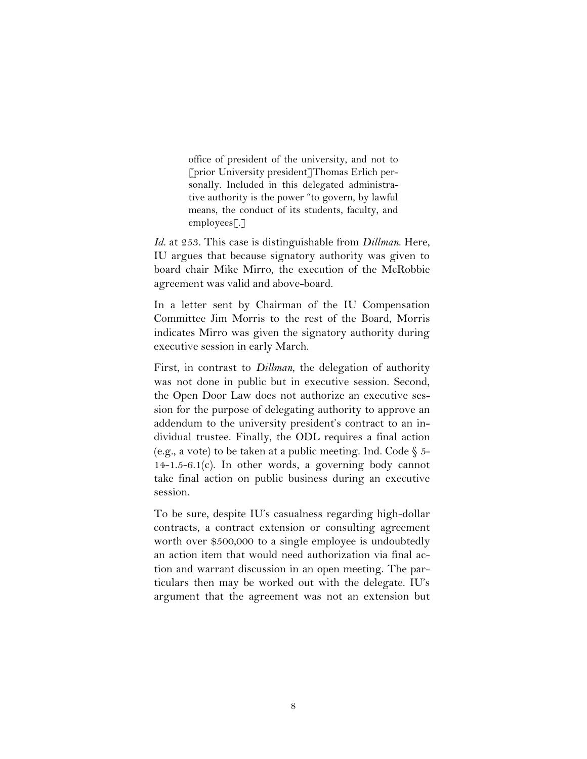office of president of the university, and not to [prior University president]Thomas Erlich personally. Included in this delegated administrative authority is the power "to govern, by lawful means, the conduct of its students, faculty, and employees[.]

*Id.* at 253. This case is distinguishable from *Dillman*. Here, IU argues that because signatory authority was given to board chair Mike Mirro, the execution of the McRobbie agreement was valid and above-board.

In a letter sent by Chairman of the IU Compensation Committee Jim Morris to the rest of the Board, Morris indicates Mirro was given the signatory authority during executive session in early March.

First, in contrast to *Dillman*, the delegation of authority was not done in public but in executive session. Second, the Open Door Law does not authorize an executive session for the purpose of delegating authority to approve an addendum to the university president's contract to an individual trustee. Finally, the ODL requires a final action (e.g., a vote) to be taken at a public meeting. Ind. Code  $\S$  5-14-1.5-6.1(c). In other words, a governing body cannot take final action on public business during an executive session.

To be sure, despite IU's casualness regarding high-dollar contracts, a contract extension or consulting agreement worth over \$500,000 to a single employee is undoubtedly an action item that would need authorization via final action and warrant discussion in an open meeting. The particulars then may be worked out with the delegate. IU's argument that the agreement was not an extension but